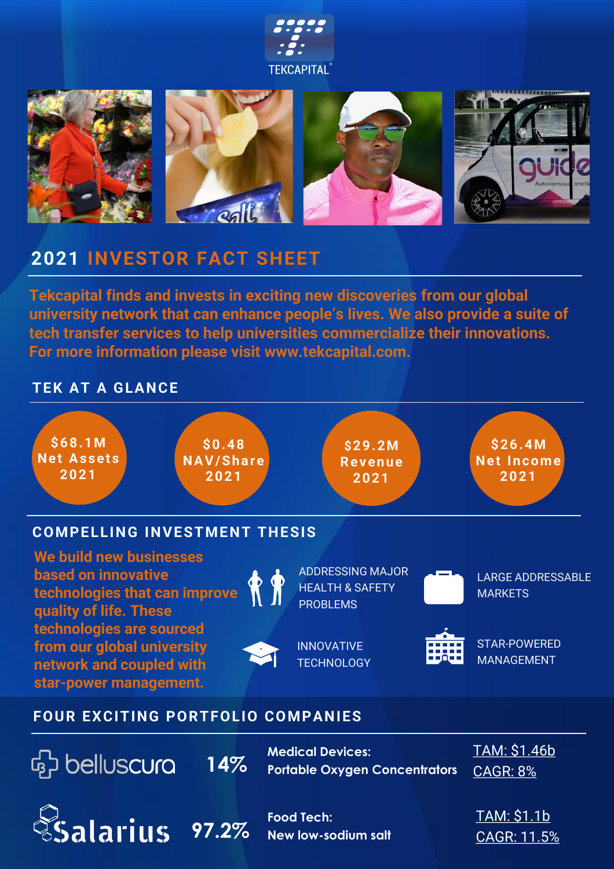



# **2021 INVESTOR FACT SHEET**

**Tekcapital finds and invests in exciting new discoveries from our global university network that can enhance people's lives. We also provide a suite of tech transfer services to help universities commercialize their innovations. For more information please visit www.tekcapital.com.**

## **TEK AT A GLANCE**